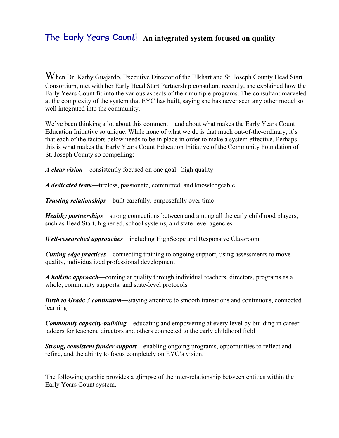## **The Early Years Count! An integrated system focused on quality**

When Dr. Kathy Guajardo, Executive Director of the Elkhart and St. Joseph County Head Start Consortium, met with her Early Head Start Partnership consultant recently, she explained how the Early Years Count fit into the various aspects of their multiple programs. The consultant marveled at the complexity of the system that EYC has built, saying she has never seen any other model so well integrated into the community.

We've been thinking a lot about this comment—and about what makes the Early Years Count Education Initiative so unique. While none of what we do is that much out-of-the-ordinary, it's that each of the factors below needs to be in place in order to make a system effective. Perhaps this is what makes the Early Years Count Education Initiative of the Community Foundation of St. Joseph County so compelling:

*A clear vision*—consistently focused on one goal: high quality

*A dedicated team*—tireless, passionate, committed, and knowledgeable

*Trusting relationships*—built carefully, purposefully over time

*Healthy partnerships*—strong connections between and among all the early childhood players, such as Head Start, higher ed, school systems, and state-level agencies

*Well-researched approaches*—including HighScope and Responsive Classroom

*Cutting edge practices*—connecting training to ongoing support, using assessments to move quality, individualized professional development

*A holistic approach*—coming at quality through individual teachers, directors, programs as a whole, community supports, and state-level protocols

*Birth to Grade 3 continuum*—staying attentive to smooth transitions and continuous, connected learning

*Community capacity-building*—educating and empowering at every level by building in career ladders for teachers, directors and others connected to the early childhood field

*Strong, consistent funder support*—enabling ongoing programs, opportunities to reflect and refine, and the ability to focus completely on EYC's vision.

The following graphic provides a glimpse of the inter-relationship between entities within the Early Years Count system.